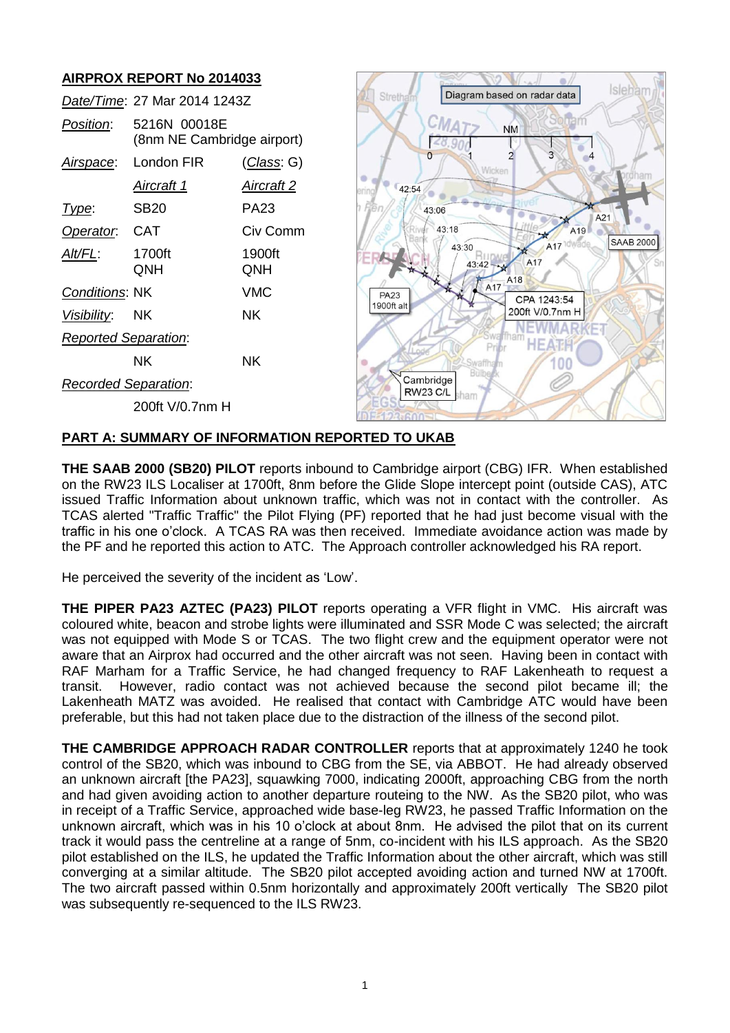# **AIRPROX REPORT No 2014033**

|                             | Date/Time: 27 Mar 2014 1243Z               | Stretham           |             | Diagram based on radar data  | Isleha                       |                   |
|-----------------------------|--------------------------------------------|--------------------|-------------|------------------------------|------------------------------|-------------------|
| Position:                   | 5216N 00018E<br>(8nm NE Cambridge airport) |                    |             |                              | <b>NM</b>                    |                   |
| Airspace:                   | London FIR                                 | <u>(Class</u> : G) |             | n<br>Wicken                  |                              |                   |
|                             | <u>Aircraft 1</u>                          | <b>Aircraft 2</b>  | 42:54       |                              |                              |                   |
| Type:                       | <b>SB20</b>                                | <b>PA23</b>        | -ier        | 43:06                        |                              | A21               |
| Operator.                   | <b>CAT</b>                                 | Civ Comm           |             | 43:18                        | A19                          | SAAB <sub>2</sub> |
| Alt/FL:                     | 1700ft<br>QNH                              | 1900ft<br>QNH      |             | 43:30<br>43:42 --            | A17 <sup>1dwade</sup><br>A17 |                   |
| Conditions: NK              |                                            | <b>VMC</b>         | <b>PA23</b> |                              | A17 A18<br>CPA 1243:54       |                   |
| Visibility:                 | <b>NK</b>                                  | <b>NK</b>          | 1900ft alt  |                              | 200ft V/0.7nm H              |                   |
| <b>Reported Separation:</b> |                                            |                    |             |                              | HE.                          |                   |
|                             | <b>NK</b>                                  | <b>NK</b>          |             | Swaffham                     |                              |                   |
| <b>Recorded Separation:</b> |                                            |                    |             | Cambridge<br><b>RW23 C/L</b> |                              |                   |
|                             | 200ft V/0.7nm H                            |                    |             | sham                         |                              |                   |

 $\sim$   $\sim$   $\sim$   $\sim$   $\sim$   $\sim$   $\sim$   $\sim$ 

 $\overline{000}$ 

## **PART A: SUMMARY OF INFORMATION REPORTED TO UKAB**

**THE SAAB 2000 (SB20) PILOT** reports inbound to Cambridge airport (CBG) IFR. When established on the RW23 ILS Localiser at 1700ft, 8nm before the Glide Slope intercept point (outside CAS), ATC issued Traffic Information about unknown traffic, which was not in contact with the controller. As TCAS alerted "Traffic Traffic" the Pilot Flying (PF) reported that he had just become visual with the traffic in his one o'clock. A TCAS RA was then received. Immediate avoidance action was made by the PF and he reported this action to ATC. The Approach controller acknowledged his RA report.

He perceived the severity of the incident as 'Low'.

**THE PIPER PA23 AZTEC (PA23) PILOT** reports operating a VFR flight in VMC. His aircraft was coloured white, beacon and strobe lights were illuminated and SSR Mode C was selected; the aircraft was not equipped with Mode S or TCAS. The two flight crew and the equipment operator were not aware that an Airprox had occurred and the other aircraft was not seen. Having been in contact with RAF Marham for a Traffic Service, he had changed frequency to RAF Lakenheath to request a transit. However, radio contact was not achieved because the second pilot became ill; the Lakenheath MATZ was avoided. He realised that contact with Cambridge ATC would have been preferable, but this had not taken place due to the distraction of the illness of the second pilot.

**THE CAMBRIDGE APPROACH RADAR CONTROLLER** reports that at approximately 1240 he took control of the SB20, which was inbound to CBG from the SE, via ABBOT. He had already observed an unknown aircraft [the PA23], squawking 7000, indicating 2000ft, approaching CBG from the north and had given avoiding action to another departure routeing to the NW. As the SB20 pilot, who was in receipt of a Traffic Service, approached wide base-leg RW23, he passed Traffic Information on the unknown aircraft, which was in his 10 o'clock at about 8nm. He advised the pilot that on its current track it would pass the centreline at a range of 5nm, co-incident with his ILS approach. As the SB20 pilot established on the ILS, he updated the Traffic Information about the other aircraft, which was still converging at a similar altitude. The SB20 pilot accepted avoiding action and turned NW at 1700ft. The two aircraft passed within 0.5nm horizontally and approximately 200ft vertically The SB20 pilot was subsequently re-sequenced to the ILS RW23.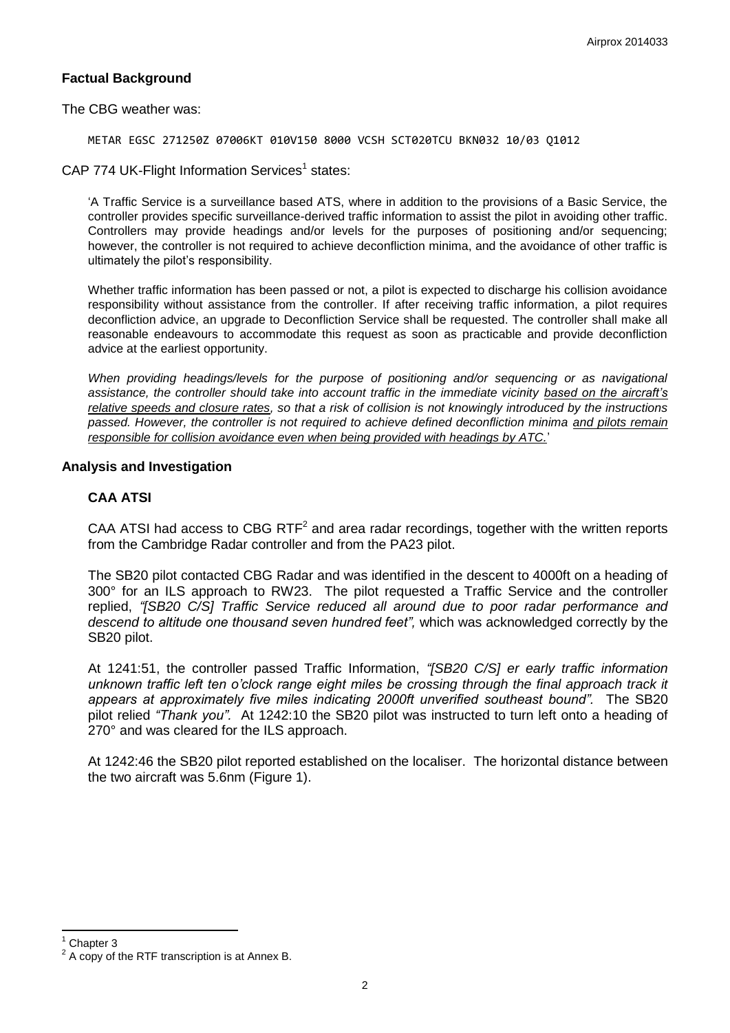## **Factual Background**

The CBG weather was:

METAR EGSC 271250Z 07006KT 010V150 8000 VCSH SCT020TCU BKN032 10/03 Q1012

CAP 774 UK-Flight Information Services<sup>1</sup> states:

'A Traffic Service is a surveillance based ATS, where in addition to the provisions of a Basic Service, the controller provides specific surveillance-derived traffic information to assist the pilot in avoiding other traffic. Controllers may provide headings and/or levels for the purposes of positioning and/or sequencing; however, the controller is not required to achieve deconfliction minima, and the avoidance of other traffic is ultimately the pilot's responsibility.

Whether traffic information has been passed or not, a pilot is expected to discharge his collision avoidance responsibility without assistance from the controller. If after receiving traffic information, a pilot requires deconfliction advice, an upgrade to Deconfliction Service shall be requested. The controller shall make all reasonable endeavours to accommodate this request as soon as practicable and provide deconfliction advice at the earliest opportunity.

*When providing headings/levels for the purpose of positioning and/or sequencing or as navigational assistance, the controller should take into account traffic in the immediate vicinity based on the aircraft's relative speeds and closure rates, so that a risk of collision is not knowingly introduced by the instructions passed. However, the controller is not required to achieve defined deconfliction minima and pilots remain responsible for collision avoidance even when being provided with headings by ATC.*'

#### **Analysis and Investigation**

#### **CAA ATSI**

CAA ATSI had access to CBG RTF<sup>2</sup> and area radar recordings, together with the written reports from the Cambridge Radar controller and from the PA23 pilot.

The SB20 pilot contacted CBG Radar and was identified in the descent to 4000ft on a heading of 300° for an ILS approach to RW23. The pilot requested a Traffic Service and the controller replied, *"[SB20 C/S] Traffic Service reduced all around due to poor radar performance and descend to altitude one thousand seven hundred feet",* which was acknowledged correctly by the SB20 pilot.

At 1241:51, the controller passed Traffic Information, *"[SB20 C/S] er early traffic information unknown traffic left ten o'clock range eight miles be crossing through the final approach track it appears at approximately five miles indicating 2000ft unverified southeast bound".* The SB20 pilot relied *"Thank you".* At 1242:10 the SB20 pilot was instructed to turn left onto a heading of 270° and was cleared for the ILS approach.

At 1242:46 the SB20 pilot reported established on the localiser. The horizontal distance between the two aircraft was 5.6nm (Figure 1).

 $\overline{\phantom{a}}$ 

Chapter 3

<sup>2</sup> A copy of the RTF transcription is at Annex B.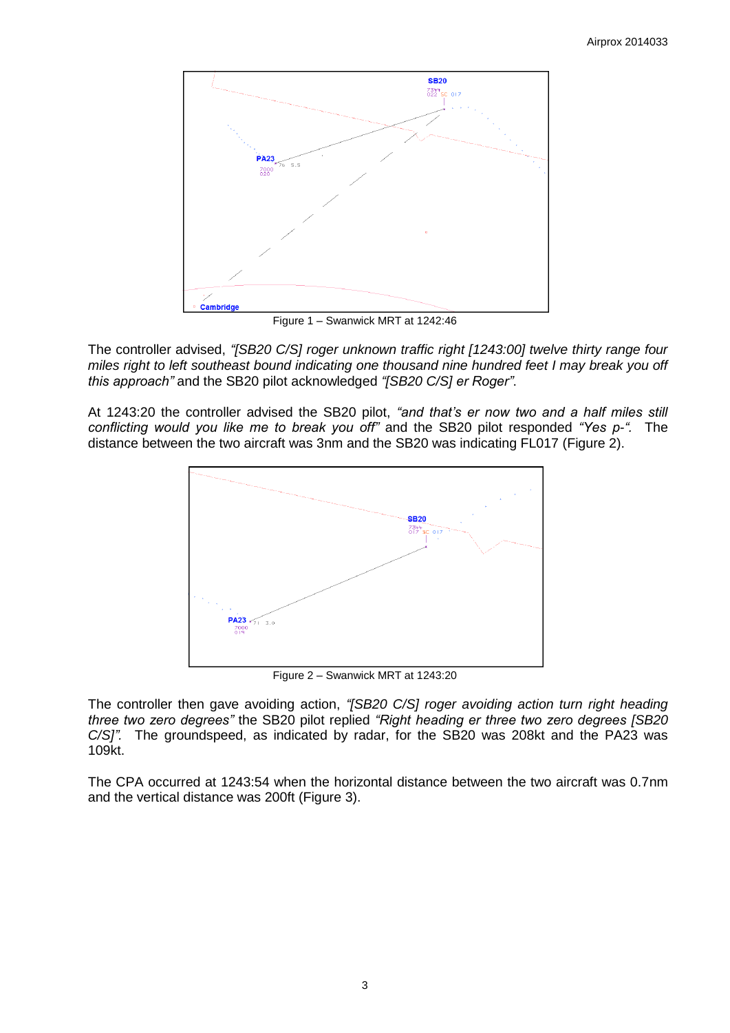

Figure 1 – Swanwick MRT at 1242:46

The controller advised, *"[SB20 C/S] roger unknown traffic right [1243:00] twelve thirty range four miles right to left southeast bound indicating one thousand nine hundred feet I may break you off this approach"* and the SB20 pilot acknowledged *"[SB20 C/S] er Roger"*.

At 1243:20 the controller advised the SB20 pilot, *"and that's er now two and a half miles still conflicting would you like me to break you off"* and the SB20 pilot responded *"Yes p-".* The distance between the two aircraft was 3nm and the SB20 was indicating FL017 (Figure 2).



Figure 2 – Swanwick MRT at 1243:20

The controller then gave avoiding action, *"[SB20 C/S] roger avoiding action turn right heading three two zero degrees"* the SB20 pilot replied *"Right heading er three two zero degrees [SB20 C/S]".* The groundspeed, as indicated by radar, for the SB20 was 208kt and the PA23 was 109kt.

The CPA occurred at 1243:54 when the horizontal distance between the two aircraft was 0.7nm and the vertical distance was 200ft (Figure 3).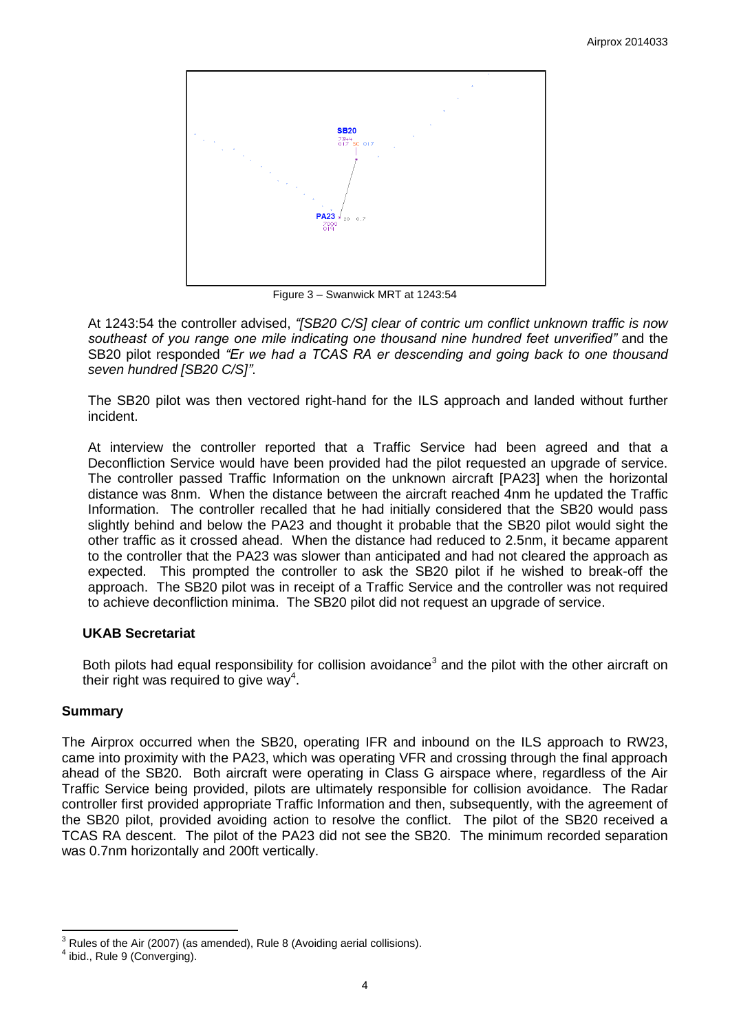

Figure 3 – Swanwick MRT at 1243:54

At 1243:54 the controller advised, *"[SB20 C/S] clear of contric um conflict unknown traffic is now southeast of you range one mile indicating one thousand nine hundred feet unverified"* and the SB20 pilot responded *"Er we had a TCAS RA er descending and going back to one thousand seven hundred [SB20 C/S]"*.

The SB20 pilot was then vectored right-hand for the ILS approach and landed without further incident.

At interview the controller reported that a Traffic Service had been agreed and that a Deconfliction Service would have been provided had the pilot requested an upgrade of service. The controller passed Traffic Information on the unknown aircraft [PA23] when the horizontal distance was 8nm. When the distance between the aircraft reached 4nm he updated the Traffic Information. The controller recalled that he had initially considered that the SB20 would pass slightly behind and below the PA23 and thought it probable that the SB20 pilot would sight the other traffic as it crossed ahead. When the distance had reduced to 2.5nm, it became apparent to the controller that the PA23 was slower than anticipated and had not cleared the approach as expected. This prompted the controller to ask the SB20 pilot if he wished to break-off the approach. The SB20 pilot was in receipt of a Traffic Service and the controller was not required to achieve deconfliction minima. The SB20 pilot did not request an upgrade of service.

## **UKAB Secretariat**

Both pilots had equal responsibility for collision avoidance<sup>3</sup> and the pilot with the other aircraft on their right was required to give way<sup>4</sup>.

## **Summary**

The Airprox occurred when the SB20, operating IFR and inbound on the ILS approach to RW23, came into proximity with the PA23, which was operating VFR and crossing through the final approach ahead of the SB20. Both aircraft were operating in Class G airspace where, regardless of the Air Traffic Service being provided, pilots are ultimately responsible for collision avoidance. The Radar controller first provided appropriate Traffic Information and then, subsequently, with the agreement of the SB20 pilot, provided avoiding action to resolve the conflict. The pilot of the SB20 received a TCAS RA descent. The pilot of the PA23 did not see the SB20. The minimum recorded separation was 0.7nm horizontally and 200ft vertically.

 $\overline{\phantom{a}}$  $3$  Rules of the Air (2007) (as amended), Rule 8 (Avoiding aerial collisions).

<sup>4</sup> ibid., Rule 9 (Converging).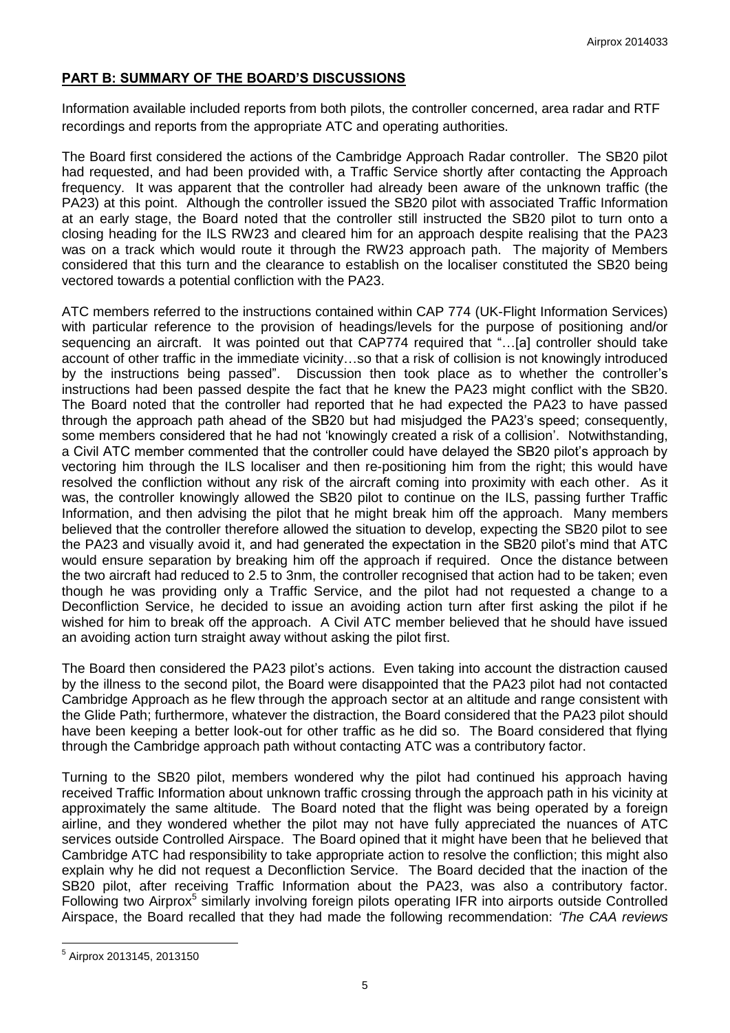## **PART B: SUMMARY OF THE BOARD'S DISCUSSIONS**

Information available included reports from both pilots, the controller concerned, area radar and RTF recordings and reports from the appropriate ATC and operating authorities.

The Board first considered the actions of the Cambridge Approach Radar controller. The SB20 pilot had requested, and had been provided with, a Traffic Service shortly after contacting the Approach frequency. It was apparent that the controller had already been aware of the unknown traffic (the PA23) at this point. Although the controller issued the SB20 pilot with associated Traffic Information at an early stage, the Board noted that the controller still instructed the SB20 pilot to turn onto a closing heading for the ILS RW23 and cleared him for an approach despite realising that the PA23 was on a track which would route it through the RW23 approach path. The majority of Members considered that this turn and the clearance to establish on the localiser constituted the SB20 being vectored towards a potential confliction with the PA23.

ATC members referred to the instructions contained within CAP 774 (UK-Flight Information Services) with particular reference to the provision of headings/levels for the purpose of positioning and/or sequencing an aircraft. It was pointed out that CAP774 required that "…[a] controller should take account of other traffic in the immediate vicinity…so that a risk of collision is not knowingly introduced by the instructions being passed". Discussion then took place as to whether the controller's instructions had been passed despite the fact that he knew the PA23 might conflict with the SB20. The Board noted that the controller had reported that he had expected the PA23 to have passed through the approach path ahead of the SB20 but had misjudged the PA23's speed; consequently, some members considered that he had not 'knowingly created a risk of a collision'. Notwithstanding, a Civil ATC member commented that the controller could have delayed the SB20 pilot's approach by vectoring him through the ILS localiser and then re-positioning him from the right; this would have resolved the confliction without any risk of the aircraft coming into proximity with each other. As it was, the controller knowingly allowed the SB20 pilot to continue on the ILS, passing further Traffic Information, and then advising the pilot that he might break him off the approach. Many members believed that the controller therefore allowed the situation to develop, expecting the SB20 pilot to see the PA23 and visually avoid it, and had generated the expectation in the SB20 pilot's mind that ATC would ensure separation by breaking him off the approach if required. Once the distance between the two aircraft had reduced to 2.5 to 3nm, the controller recognised that action had to be taken; even though he was providing only a Traffic Service, and the pilot had not requested a change to a Deconfliction Service, he decided to issue an avoiding action turn after first asking the pilot if he wished for him to break off the approach. A Civil ATC member believed that he should have issued an avoiding action turn straight away without asking the pilot first.

The Board then considered the PA23 pilot's actions. Even taking into account the distraction caused by the illness to the second pilot, the Board were disappointed that the PA23 pilot had not contacted Cambridge Approach as he flew through the approach sector at an altitude and range consistent with the Glide Path; furthermore, whatever the distraction, the Board considered that the PA23 pilot should have been keeping a better look-out for other traffic as he did so. The Board considered that flying through the Cambridge approach path without contacting ATC was a contributory factor.

Turning to the SB20 pilot, members wondered why the pilot had continued his approach having received Traffic Information about unknown traffic crossing through the approach path in his vicinity at approximately the same altitude. The Board noted that the flight was being operated by a foreign airline, and they wondered whether the pilot may not have fully appreciated the nuances of ATC services outside Controlled Airspace. The Board opined that it might have been that he believed that Cambridge ATC had responsibility to take appropriate action to resolve the confliction; this might also explain why he did not request a Deconfliction Service. The Board decided that the inaction of the SB20 pilot, after receiving Traffic Information about the PA23, was also a contributory factor. Following two Airprox<sup>5</sup> similarly involving foreign pilots operating IFR into airports outside Controlled Airspace, the Board recalled that they had made the following recommendation: *'The CAA reviews* 

 $\overline{a}$ 

<sup>5</sup> Airprox 2013145, 2013150